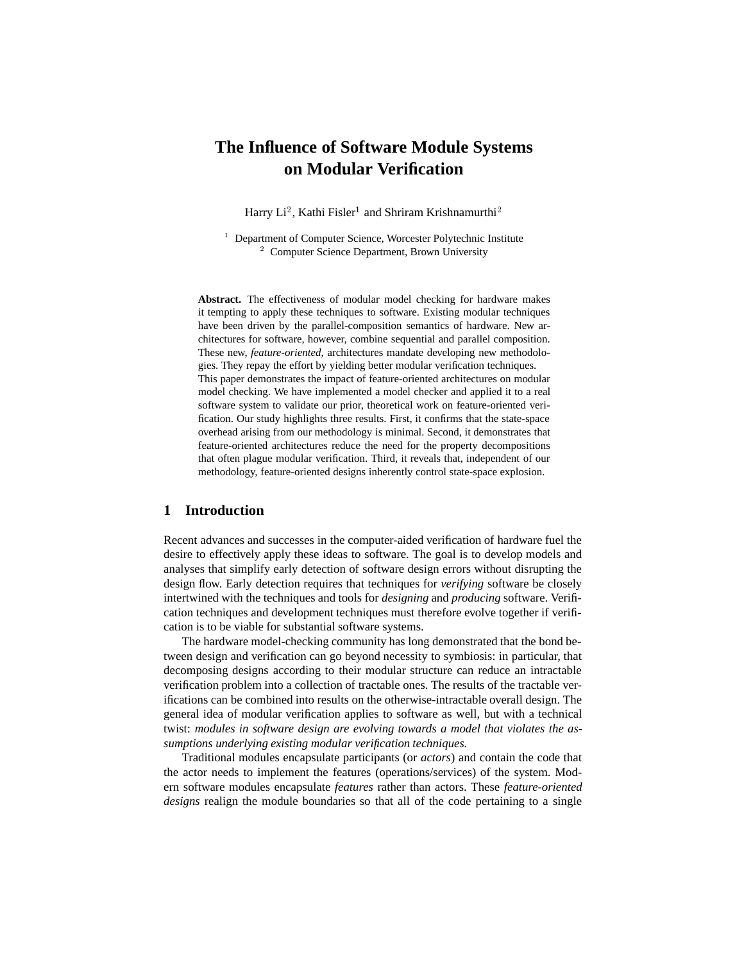# **The Influence of Software Module Systems on Modular Verification**

Harry Li<sup>2</sup>, Kathi Fisler<sup>1</sup> and Shriram Krishnamurthi<sup>2</sup>

<sup>1</sup> Department of Computer Science, Worcester Polytechnic Institute <sup>2</sup> Computer Science Department, Brown University

**Abstract.** The effectiveness of modular model checking for hardware makes it tempting to apply these techniques to software. Existing modular techniques have been driven by the parallel-composition semantics of hardware. New architectures for software, however, combine sequential and parallel composition. These new, *feature-oriented*, architectures mandate developing new methodologies. They repay the effort by yielding better modular verification techniques. This paper demonstrates the impact of feature-oriented architectures on modular model checking. We have implemented a model checker and applied it to a real software system to validate our prior, theoretical work on feature-oriented verification. Our study highlights three results. First, it confirms that the state-space overhead arising from our methodology is minimal. Second, it demonstrates that feature-oriented architectures reduce the need for the property decompositions that often plague modular verification. Third, it reveals that, independent of our methodology, feature-oriented designs inherently control state-space explosion.

## **1 Introduction**

Recent advances and successes in the computer-aided verification of hardware fuel the desire to effectively apply these ideas to software. The goal is to develop models and analyses that simplify early detection of software design errors without disrupting the design flow. Early detection requires that techniques for *verifying* software be closely intertwined with the techniques and tools for *designing* and *producing* software. Verification techniques and development techniques must therefore evolve together if verification is to be viable for substantial software systems.

The hardware model-checking community has long demonstrated that the bond between design and verification can go beyond necessity to symbiosis: in particular, that decomposing designs according to their modular structure can reduce an intractable verification problem into a collection of tractable ones. The results of the tractable verifications can be combined into results on the otherwise-intractable overall design. The general idea of modular verification applies to software as well, but with a technical twist: *modules in software design are evolving towards a model that violates the assumptions underlying existing modular verification techniques.*

Traditional modules encapsulate participants (or *actors*) and contain the code that the actor needs to implement the features (operations/services) of the system. Modern software modules encapsulate *features* rather than actors. These *feature-oriented designs* realign the module boundaries so that all of the code pertaining to a single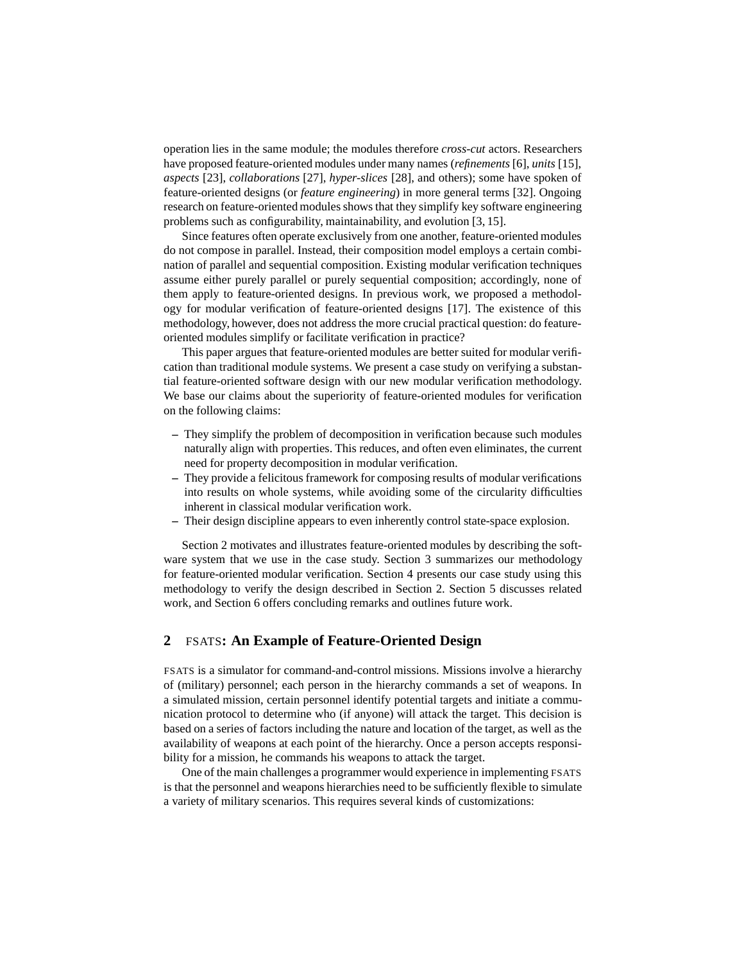operation lies in the same module; the modules therefore *cross-cut* actors. Researchers have proposed feature-oriented modules under many names (*refinements*[6], *units* [15], *aspects* [23], *collaborations* [27], *hyper-slices* [28], and others); some have spoken of feature-oriented designs (or *feature engineering*) in more general terms [32]. Ongoing research on feature-oriented modules shows that they simplify key software engineering problems such as configurability, maintainability, and evolution [3, 15].

Since features often operate exclusively from one another, feature-oriented modules do not compose in parallel. Instead, their composition model employs a certain combination of parallel and sequential composition. Existing modular verification techniques assume either purely parallel or purely sequential composition; accordingly, none of them apply to feature-oriented designs. In previous work, we proposed a methodology for modular verification of feature-oriented designs [17]. The existence of this methodology, however, does not address the more crucial practical question: do featureoriented modules simplify or facilitate verification in practice?

This paper argues that feature-oriented modules are better suited for modular verification than traditional module systems. We present a case study on verifying a substantial feature-oriented software design with our new modular verification methodology. We base our claims about the superiority of feature-oriented modules for verification on the following claims:

- **–** They simplify the problem of decomposition in verification because such modules naturally align with properties. This reduces, and often even eliminates, the current need for property decomposition in modular verification.
- **–** They provide a felicitous framework for composing results of modular verifications into results on whole systems, while avoiding some of the circularity difficulties inherent in classical modular verification work.
- **–** Their design discipline appears to even inherently control state-space explosion.

Section 2 motivates and illustrates feature-oriented modules by describing the software system that we use in the case study. Section 3 summarizes our methodology for feature-oriented modular verification. Section 4 presents our case study using this methodology to verify the design described in Section 2. Section 5 discusses related work, and Section 6 offers concluding remarks and outlines future work.

## **2** FSATS**: An Example of Feature-Oriented Design**

FSATS is a simulator for command-and-control missions. Missions involve a hierarchy of (military) personnel; each person in the hierarchy commands a set of weapons. In a simulated mission, certain personnel identify potential targets and initiate a communication protocol to determine who (if anyone) will attack the target. This decision is based on a series of factors including the nature and location of the target, as well as the availability of weapons at each point of the hierarchy. Once a person accepts responsibility for a mission, he commands his weapons to attack the target.

One of the main challenges a programmer would experience in implementing FSATS is that the personnel and weapons hierarchies need to be sufficiently flexible to simulate a variety of military scenarios. This requires several kinds of customizations: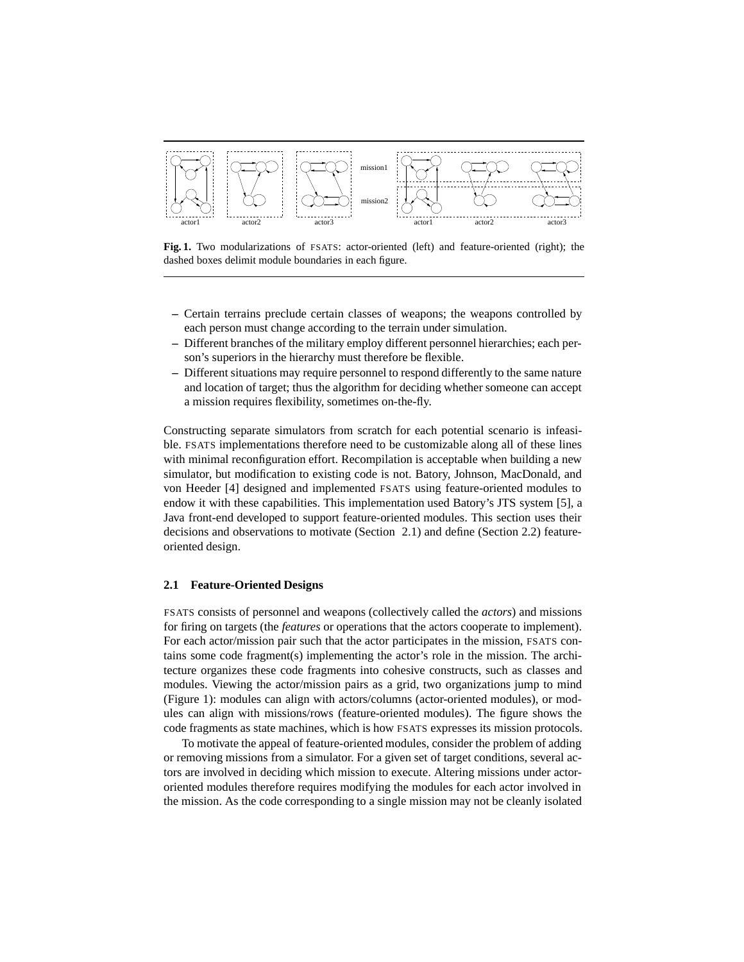

Fig. 1. Two modularizations of FSATS: actor-oriented (left) and feature-oriented (right); the dashed boxes delimit module boundaries in each figure.

- **–** Certain terrains preclude certain classes of weapons; the weapons controlled by each person must change according to the terrain under simulation.
- **–** Different branches of the military employ different personnel hierarchies; each person's superiors in the hierarchy must therefore be flexible.
- **–** Different situations may require personnel to respond differently to the same nature and location of target; thus the algorithm for deciding whether someone can accept a mission requires flexibility, sometimes on-the-fly.

Constructing separate simulators from scratch for each potential scenario is infeasible. FSATS implementations therefore need to be customizable along all of these lines with minimal reconfiguration effort. Recompilation is acceptable when building a new simulator, but modification to existing code is not. Batory, Johnson, MacDonald, and von Heeder [4] designed and implemented FSATS using feature-oriented modules to endow it with these capabilities. This implementation used Batory's JTS system [5], a Java front-end developed to support feature-oriented modules. This section uses their decisions and observations to motivate (Section 2.1) and define (Section 2.2) featureoriented design.

#### **2.1 Feature-Oriented Designs**

FSATS consists of personnel and weapons (collectively called the *actors*) and missions for firing on targets (the *features* or operations that the actors cooperate to implement). For each actor/mission pair such that the actor participates in the mission, FSATS contains some code fragment(s) implementing the actor's role in the mission. The architecture organizes these code fragments into cohesive constructs, such as classes and modules. Viewing the actor/mission pairs as a grid, two organizations jump to mind (Figure 1): modules can align with actors/columns (actor-oriented modules), or modules can align with missions/rows (feature-oriented modules). The figure shows the code fragments as state machines, which is how FSATS expresses its mission protocols.

To motivate the appeal of feature-oriented modules, consider the problem of adding or removing missions from a simulator. For a given set of target conditions, several actors are involved in deciding which mission to execute. Altering missions under actororiented modules therefore requires modifying the modules for each actor involved in the mission. As the code corresponding to a single mission may not be cleanly isolated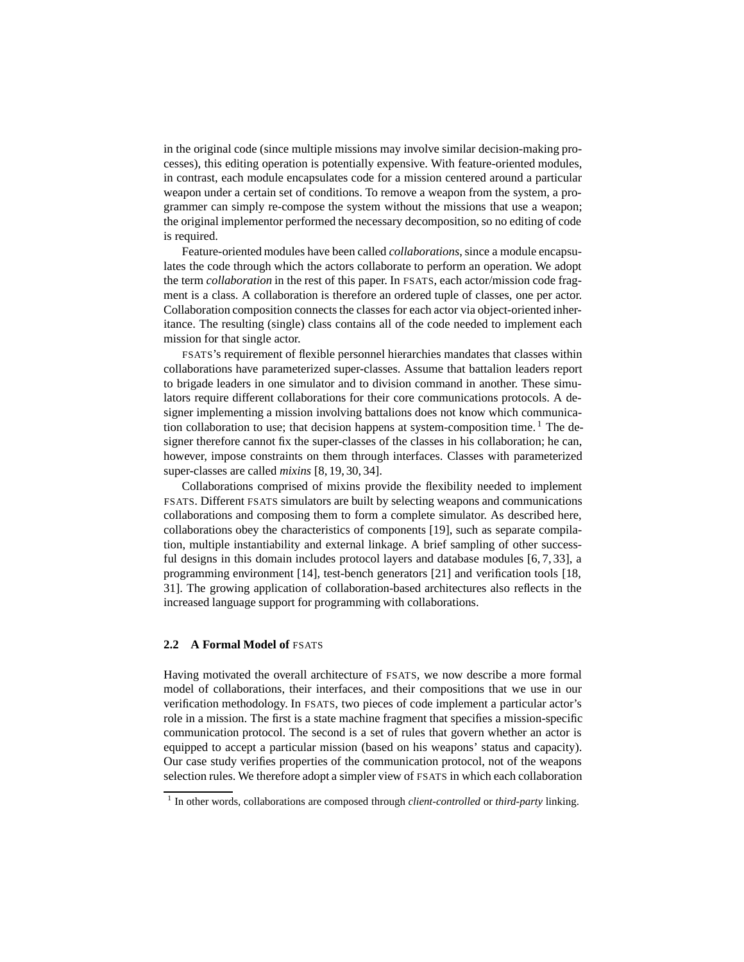in the original code (since multiple missions may involve similar decision-making processes), this editing operation is potentially expensive. With feature-oriented modules, in contrast, each module encapsulates code for a mission centered around a particular weapon under a certain set of conditions. To remove a weapon from the system, a programmer can simply re-compose the system without the missions that use a weapon; the original implementor performed the necessary decomposition, so no editing of code is required.

Feature-oriented modules have been called *collaborations*, since a module encapsulates the code through which the actors collaborate to perform an operation. We adopt the term *collaboration* in the rest of this paper. In FSATS, each actor/mission code fragment is a class. A collaboration is therefore an ordered tuple of classes, one per actor. Collaboration composition connects the classes for each actor via object-oriented inheritance. The resulting (single) class contains all of the code needed to implement each mission for that single actor.

FSATS's requirement of flexible personnel hierarchies mandates that classes within collaborations have parameterized super-classes. Assume that battalion leaders report to brigade leaders in one simulator and to division command in another. These simulators require different collaborations for their core communications protocols. A designer implementing a mission involving battalions does not know which communication collaboration to use; that decision happens at system-composition time.<sup>1</sup> The designer therefore cannot fix the super-classes of the classes in his collaboration; he can, however, impose constraints on them through interfaces. Classes with parameterized super-classes are called *mixins* [8, 19, 30, 34].

Collaborations comprised of mixins provide the flexibility needed to implement FSATS. Different FSATS simulators are built by selecting weapons and communications collaborations and composing them to form a complete simulator. As described here, collaborations obey the characteristics of components [19], such as separate compilation, multiple instantiability and external linkage. A brief sampling of other successful designs in this domain includes protocol layers and database modules [6, 7, 33], a programming environment [14], test-bench generators [21] and verification tools [18, 31]. The growing application of collaboration-based architectures also reflects in the increased language support for programming with collaborations.

#### **2.2 A Formal Model of** FSATS

Having motivated the overall architecture of FSATS, we now describe a more formal model of collaborations, their interfaces, and their compositions that we use in our verification methodology. In FSATS, two pieces of code implement a particular actor's role in a mission. The first is a state machine fragment that specifies a mission-specific communication protocol. The second is a set of rules that govern whether an actor is equipped to accept a particular mission (based on his weapons' status and capacity). Our case study verifies properties of the communication protocol, not of the weapons selection rules. We therefore adopt a simpler view of FSATS in which each collaboration

<sup>1</sup> In other words, collaborations are composed through *client-controlled* or *third-party* linking.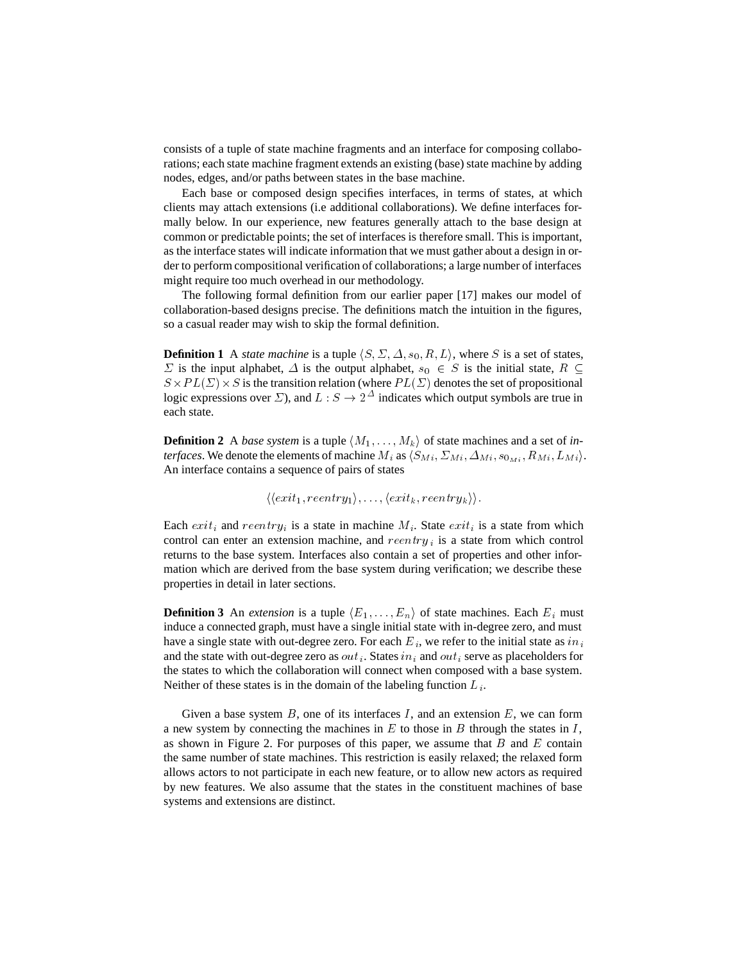consists of a tuple of state machine fragments and an interface for composing collaborations; each state machine fragment extends an existing (base) state machine by adding nodes, edges, and/or paths between states in the base machine.

Each base or composed design specifies interfaces, in terms of states, at which clients may attach extensions (i.e additional collaborations). We define interfaces formally below. In our experience, new features generally attach to the base design at common or predictable points; the set of interfaces is therefore small. This is important, as the interface states will indicate information that we must gather about a design in order to perform compositional verification of collaborations; a large number of interfaces might require too much overhead in our methodology.

The following formal definition from our earlier paper [17] makes our model of collaboration-based designs precise. The definitions match the intuition in the figures, so a casual reader may wish to skip the formal definition.

**Definition 1** A *state machine* is a tuple  $\langle S, \Sigma, \Delta, s_0, R, L \rangle$ , where S is a set of states,  $\Sigma$  is the input alphabet,  $\Delta$  is the output alphabet,  $s_0 \in S$  is the initial state,  $R \subset$  $S \times PL(\Sigma) \times S$  is the transition relation (where  $PL(\Sigma)$  denotes the set of propositional logic expressions over  $\Sigma$ ), and  $L : S \to 2<sup>\Delta</sup>$  indicates which output symbols are true in each state.

**Definition 2** A *base system* is a tuple  $\langle M_1, \ldots, M_k \rangle$  of state machines and a set of *interfaces*. We denote the elements of machine  $M_i$  as  $\langle S_{Mi}, \Sigma_{Mi}, \Delta_{Mi}, s_{0_M}, R_{Mi}, L_{Mi} \rangle$ . An interface contains a sequence of pairs of states

 $\langle \langle exit_1, reentry_1 \rangle, \ldots, \langle exit_k, reentry_k \rangle \rangle.$ 

Each  $exit_i$  and reentry<sub>i</sub> is a state in machine  $M_i$ . State exit<sub>i</sub> is a state from which control can enter an extension machine, and  $reentry_i$  is a state from which control returns to the base system. Interfaces also contain a set of properties and other information which are derived from the base system during verification; we describe these properties in detail in later sections.

**Definition 3** An *extension* is a tuple  $\langle E_1, \ldots, E_n \rangle$  of state machines. Each  $E_i$  must induce a connected graph, must have a single initial state with in-degree zero, and must have a single state with out-degree zero. For each  $E_i$ , we refer to the initial state as  $in_i$ and the state with out-degree zero as  $out_i$ . States in<sub>i</sub> and  $out_i$  serve as placeholders for the states to which the collaboration will connect when composed with a base system. Neither of these states is in the domain of the labeling function  $L_i$ .

Given a base system  $B$ , one of its interfaces  $I$ , and an extension  $E$ , we can form a new system by connecting the machines in  $E$  to those in  $B$  through the states in  $I$ , as shown in Figure 2. For purposes of this paper, we assume that  $B$  and  $E$  contain the same number of state machines. This restriction is easily relaxed; the relaxed form allows actors to not participate in each new feature, or to allow new actors as required by new features. We also assume that the states in the constituent machines of base systems and extensions are distinct.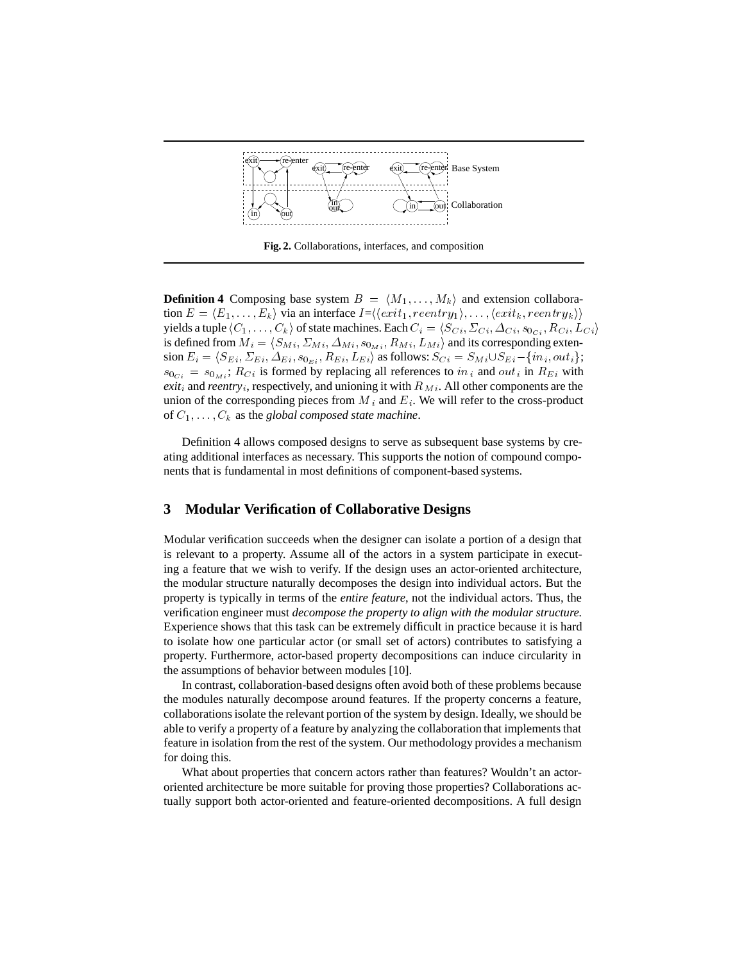

**Fig. 2.** Collaborations, interfaces, and composition

**Definition 4** Composing base system  $B = \langle M_1, \ldots, M_k \rangle$  and extension collaboration  $E = \langle E_1, \ldots, E_k \rangle$  via an interface  $I = \langle \langle exit_1, reentry_1 \rangle, \ldots, \langle exit_k, reentry_k \rangle \rangle$ yields a tuple  $\langle C_1,\ldots,C_k \rangle$  of state machines. Each  $C_i = \langle S_{Ci}, \Sigma_{Ci}, \Delta_{Ci}, s_{0Ci}, R_{Ci}, L_{Ci} \rangle$ is defined from  $M_i = \langle S_{Mi}, \Sigma_{Mi}, \Delta_{Mi}, s_{0_{Mi}}, R_{Mi}, L_{Mi} \rangle$  and its corresponding extension  $E_i = \langle S_{E_i}, \Sigma_{E_i}, \Delta_{E_i}, s_{0_{E_i}}, R_{E_i}, L_{E_i} \rangle$  as follows:  $S_{Ci} = S_{Mi} \cup S_{E_i} - \{in_i, out_i\};$  $s_{0_{Ci}} = s_{0_{Mi}}$ ;  $R_{Ci}$  is formed by replacing all references to  $in_i$  and  $out_i$  in  $R_{E_i}$  with  $exit_i$  and *reentry<sub>i</sub>*, respectively, and unioning it with  $R_{Mi}$ . All other components are the union of the corresponding pieces from  $M_i$  and  $E_i$ . We will refer to the cross-product of  $C_1$ ,  $\ldots$ ,  $C_k$  as the *global composed state machine*.

Definition 4 allows composed designs to serve as subsequent base systems by creating additional interfaces as necessary. This supports the notion of compound components that is fundamental in most definitions of component-based systems.

## **3 Modular Verification of Collaborative Designs**

Modular verification succeeds when the designer can isolate a portion of a design that is relevant to a property. Assume all of the actors in a system participate in executing a feature that we wish to verify. If the design uses an actor-oriented architecture, the modular structure naturally decomposes the design into individual actors. But the property is typically in terms of the *entire feature*, not the individual actors. Thus, the verification engineer must *decompose the property to align with the modular structure.* Experience shows that this task can be extremely difficult in practice because it is hard to isolate how one particular actor (or small set of actors) contributes to satisfying a property. Furthermore, actor-based property decompositions can induce circularity in the assumptions of behavior between modules [10].

In contrast, collaboration-based designs often avoid both of these problems because the modules naturally decompose around features. If the property concerns a feature, collaborations isolate the relevant portion of the system by design. Ideally, we should be able to verify a property of a feature by analyzing the collaboration that implements that feature in isolation from the rest of the system. Our methodology provides a mechanism for doing this.

What about properties that concern actors rather than features? Wouldn't an actororiented architecture be more suitable for proving those properties? Collaborations actually support both actor-oriented and feature-oriented decompositions. A full design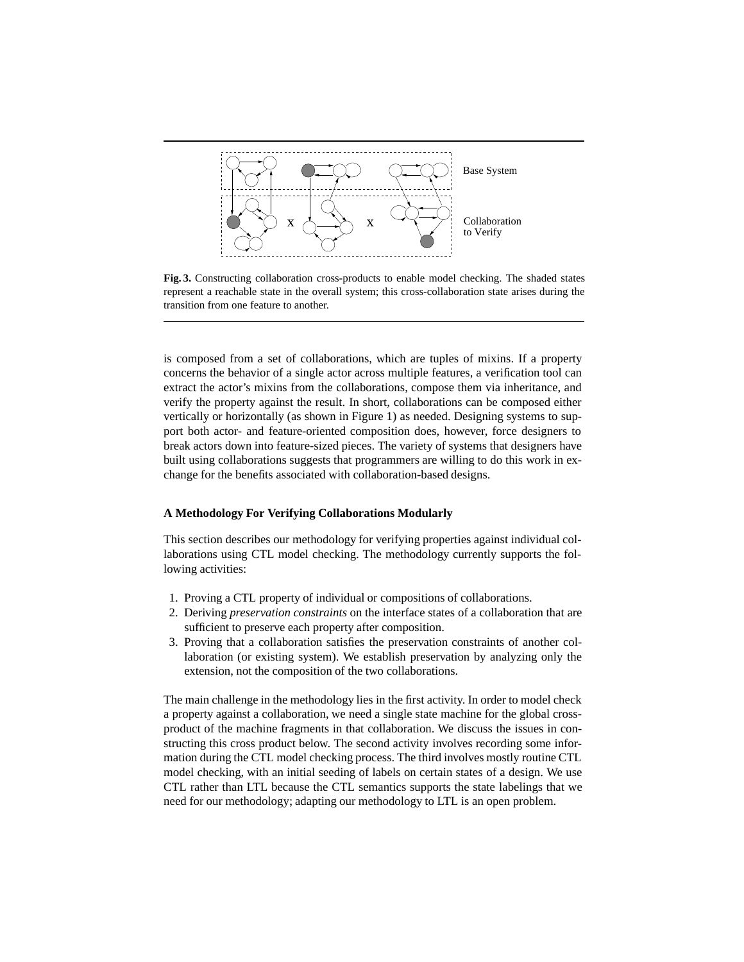

**Fig. 3.** Constructing collaboration cross-products to enable model checking. The shaded states represent a reachable state in the overall system; this cross-collaboration state arises during the transition from one feature to another.

is composed from a set of collaborations, which are tuples of mixins. If a property concerns the behavior of a single actor across multiple features, a verification tool can extract the actor's mixins from the collaborations, compose them via inheritance, and verify the property against the result. In short, collaborations can be composed either vertically or horizontally (as shown in Figure 1) as needed. Designing systems to support both actor- and feature-oriented composition does, however, force designers to break actors down into feature-sized pieces. The variety of systems that designers have built using collaborations suggests that programmers are willing to do this work in exchange for the benefits associated with collaboration-based designs.

#### **A Methodology For Verifying Collaborations Modularly**

This section describes our methodology for verifying properties against individual collaborations using CTL model checking. The methodology currently supports the following activities:

- 1. Proving a CTL property of individual or compositions of collaborations.
- 2. Deriving *preservation constraints* on the interface states of a collaboration that are sufficient to preserve each property after composition.
- 3. Proving that a collaboration satisfies the preservation constraints of another collaboration (or existing system). We establish preservation by analyzing only the extension, not the composition of the two collaborations.

The main challenge in the methodology lies in the first activity. In order to model check a property against a collaboration, we need a single state machine for the global crossproduct of the machine fragments in that collaboration. We discuss the issues in constructing this cross product below. The second activity involves recording some information during the CTL model checking process. The third involves mostly routine CTL model checking, with an initial seeding of labels on certain states of a design. We use CTL rather than LTL because the CTL semantics supports the state labelings that we need for our methodology; adapting our methodology to LTL is an open problem.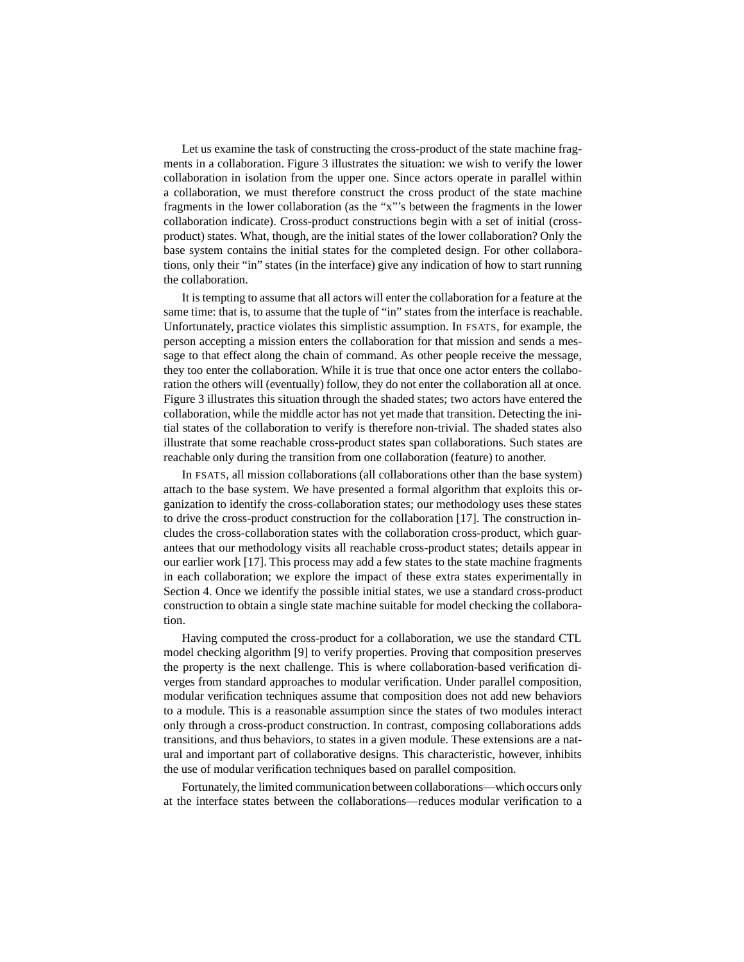Let us examine the task of constructing the cross-product of the state machine fragments in a collaboration. Figure 3 illustrates the situation: we wish to verify the lower collaboration in isolation from the upper one. Since actors operate in parallel within a collaboration, we must therefore construct the cross product of the state machine fragments in the lower collaboration (as the "x"'s between the fragments in the lower collaboration indicate). Cross-product constructions begin with a set of initial (crossproduct) states. What, though, are the initial states of the lower collaboration? Only the base system contains the initial states for the completed design. For other collaborations, only their "in" states (in the interface) give any indication of how to start running the collaboration.

It is tempting to assume that all actors will enter the collaboration for a feature at the same time: that is, to assume that the tuple of "in" states from the interface is reachable. Unfortunately, practice violates this simplistic assumption. In FSATS, for example, the person accepting a mission enters the collaboration for that mission and sends a message to that effect along the chain of command. As other people receive the message, they too enter the collaboration. While it is true that once one actor enters the collaboration the others will (eventually) follow, they do not enter the collaboration all at once. Figure 3 illustrates this situation through the shaded states; two actors have entered the collaboration, while the middle actor has not yet made that transition. Detecting the initial states of the collaboration to verify is therefore non-trivial. The shaded states also illustrate that some reachable cross-product states span collaborations. Such states are reachable only during the transition from one collaboration (feature) to another.

In FSATS, all mission collaborations (all collaborations other than the base system) attach to the base system. We have presented a formal algorithm that exploits this organization to identify the cross-collaboration states; our methodology uses these states to drive the cross-product construction for the collaboration [17]. The construction includes the cross-collaboration states with the collaboration cross-product, which guarantees that our methodology visits all reachable cross-product states; details appear in our earlier work [17]. This process may add a few states to the state machine fragments in each collaboration; we explore the impact of these extra states experimentally in Section 4. Once we identify the possible initial states, we use a standard cross-product construction to obtain a single state machine suitable for model checking the collaboration.

Having computed the cross-product for a collaboration, we use the standard CTL model checking algorithm [9] to verify properties. Proving that composition preserves the property is the next challenge. This is where collaboration-based verification diverges from standard approaches to modular verification. Under parallel composition, modular verification techniques assume that composition does not add new behaviors to a module. This is a reasonable assumption since the states of two modules interact only through a cross-product construction. In contrast, composing collaborations adds transitions, and thus behaviors, to states in a given module. These extensions are a natural and important part of collaborative designs. This characteristic, however, inhibits the use of modular verification techniques based on parallel composition.

Fortunately, the limited communication between collaborations—which occurs only at the interface states between the collaborations—reduces modular verification to a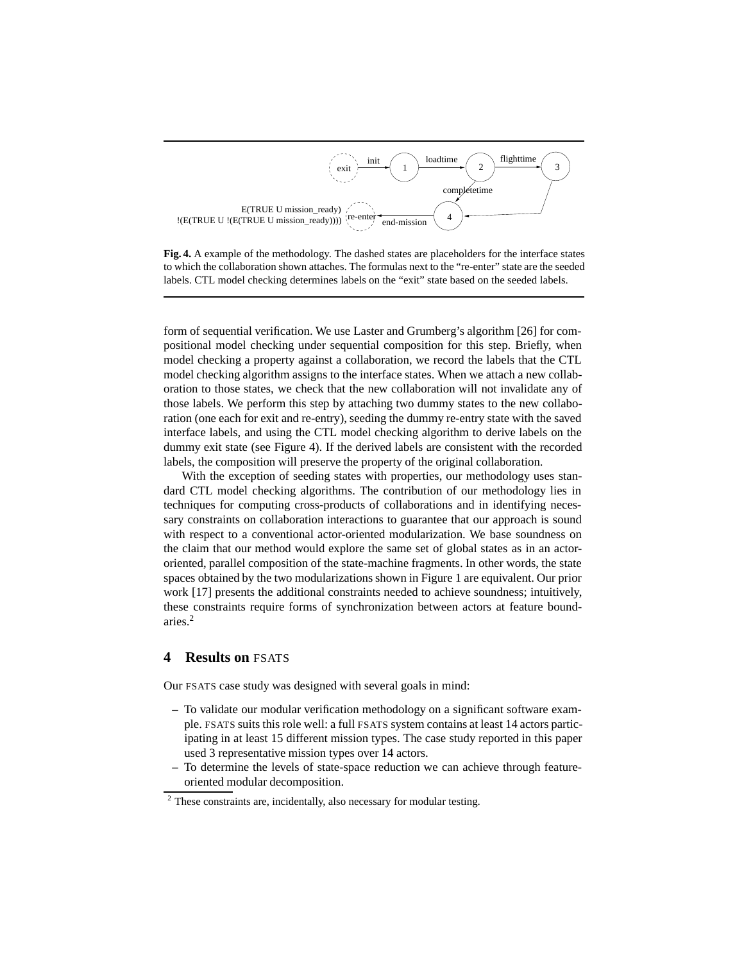

**Fig. 4.** A example of the methodology. The dashed states are placeholders for the interface states to which the collaboration shown attaches. The formulas next to the "re-enter" state are the seeded labels. CTL model checking determines labels on the "exit" state based on the seeded labels.

form of sequential verification. We use Laster and Grumberg's algorithm [26] for compositional model checking under sequential composition for this step. Briefly, when model checking a property against a collaboration, we record the labels that the CTL model checking algorithm assigns to the interface states. When we attach a new collaboration to those states, we check that the new collaboration will not invalidate any of those labels. We perform this step by attaching two dummy states to the new collaboration (one each for exit and re-entry), seeding the dummy re-entry state with the saved interface labels, and using the CTL model checking algorithm to derive labels on the dummy exit state (see Figure 4). If the derived labels are consistent with the recorded labels, the composition will preserve the property of the original collaboration.

With the exception of seeding states with properties, our methodology uses standard CTL model checking algorithms. The contribution of our methodology lies in techniques for computing cross-products of collaborations and in identifying necessary constraints on collaboration interactions to guarantee that our approach is sound with respect to a conventional actor-oriented modularization. We base soundness on the claim that our method would explore the same set of global states as in an actororiented, parallel composition of the state-machine fragments. In other words, the state spaces obtained by the two modularizations shown in Figure 1 are equivalent. Our prior work [17] presents the additional constraints needed to achieve soundness; intuitively, these constraints require forms of synchronization between actors at feature boundaries.<sup>2</sup>

## **4 Results on** FSATS

Our FSATS case study was designed with several goals in mind:

- **–** To validate our modular verification methodology on a significant software example. FSATS suits this role well: a full FSATS system contains at least 14 actors participating in at least 15 different mission types. The case study reported in this paper used 3 representative mission types over 14 actors.
- **–** To determine the levels of state-space reduction we can achieve through featureoriented modular decomposition.

<sup>&</sup>lt;sup>2</sup> These constraints are, incidentally, also necessary for modular testing.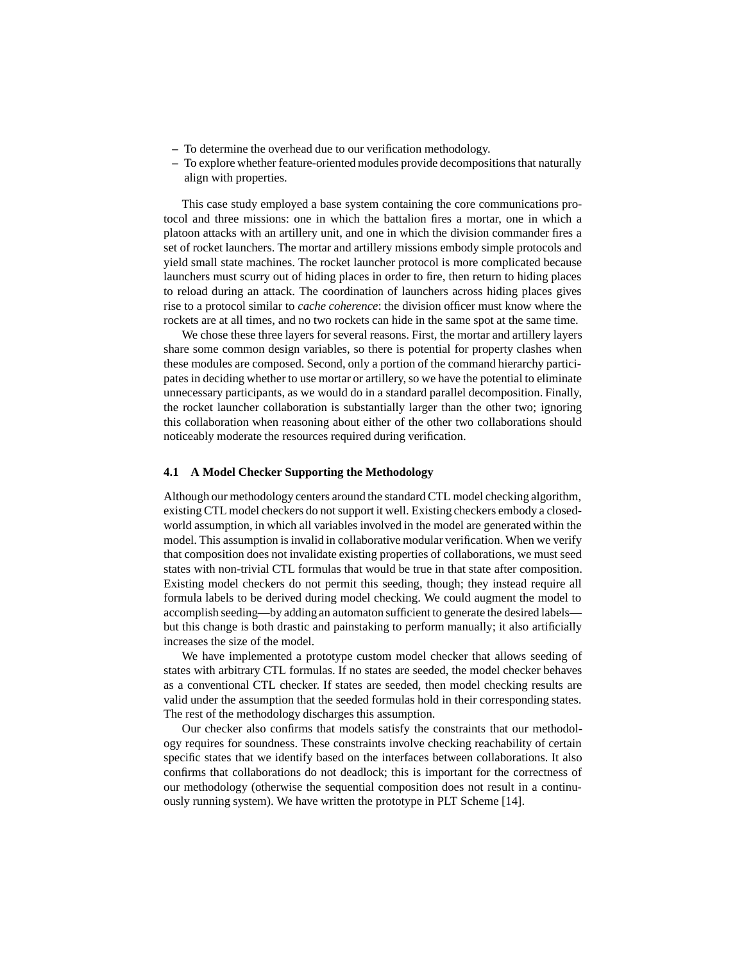- **–** To determine the overhead due to our verification methodology.
- **–** To explore whether feature-oriented modules provide decompositions that naturally align with properties.

This case study employed a base system containing the core communications protocol and three missions: one in which the battalion fires a mortar, one in which a platoon attacks with an artillery unit, and one in which the division commander fires a set of rocket launchers. The mortar and artillery missions embody simple protocols and yield small state machines. The rocket launcher protocol is more complicated because launchers must scurry out of hiding places in order to fire, then return to hiding places to reload during an attack. The coordination of launchers across hiding places gives rise to a protocol similar to *cache coherence*: the division officer must know where the rockets are at all times, and no two rockets can hide in the same spot at the same time.

We chose these three layers for several reasons. First, the mortar and artillery layers share some common design variables, so there is potential for property clashes when these modules are composed. Second, only a portion of the command hierarchy participates in deciding whether to use mortar or artillery, so we have the potential to eliminate unnecessary participants, as we would do in a standard parallel decomposition. Finally, the rocket launcher collaboration is substantially larger than the other two; ignoring this collaboration when reasoning about either of the other two collaborations should noticeably moderate the resources required during verification.

#### **4.1 A Model Checker Supporting the Methodology**

Although our methodology centers around the standard CTL model checking algorithm, existing CTL model checkers do not support it well. Existing checkers embody a closedworld assumption, in which all variables involved in the model are generated within the model. This assumption is invalid in collaborative modular verification. When we verify that composition does not invalidate existing properties of collaborations, we must seed states with non-trivial CTL formulas that would be true in that state after composition. Existing model checkers do not permit this seeding, though; they instead require all formula labels to be derived during model checking. We could augment the model to accomplish seeding—by adding an automaton sufficient to generate the desired labels but this change is both drastic and painstaking to perform manually; it also artificially increases the size of the model.

We have implemented a prototype custom model checker that allows seeding of states with arbitrary CTL formulas. If no states are seeded, the model checker behaves as a conventional CTL checker. If states are seeded, then model checking results are valid under the assumption that the seeded formulas hold in their corresponding states. The rest of the methodology discharges this assumption.

Our checker also confirms that models satisfy the constraints that our methodology requires for soundness. These constraints involve checking reachability of certain specific states that we identify based on the interfaces between collaborations. It also confirms that collaborations do not deadlock; this is important for the correctness of our methodology (otherwise the sequential composition does not result in a continuously running system). We have written the prototype in PLT Scheme [14].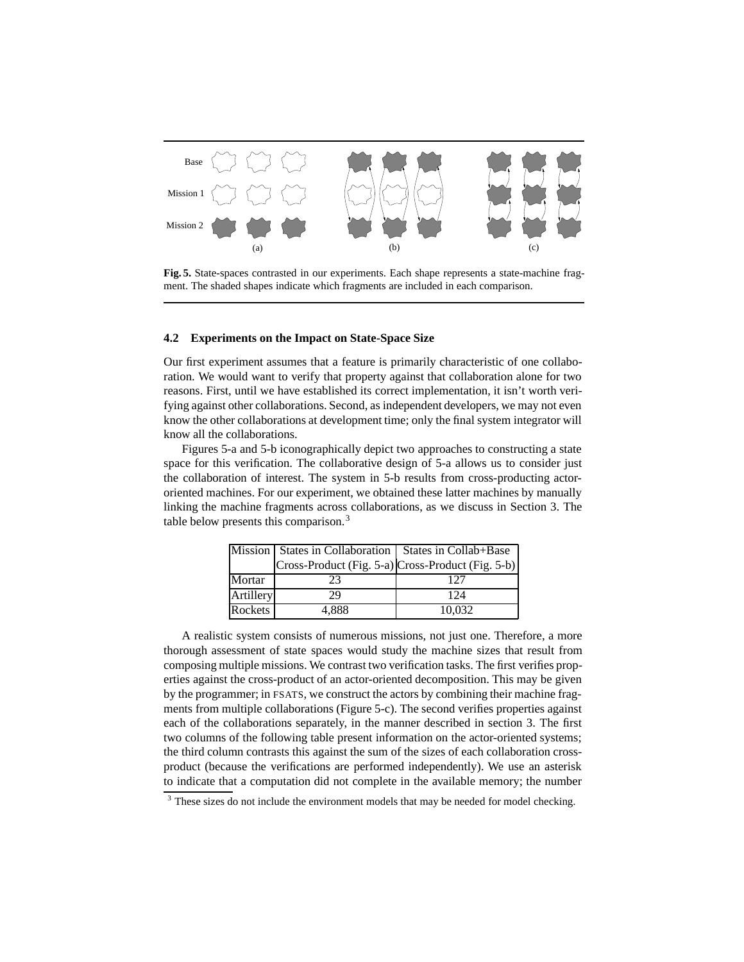

**Fig. 5.** State-spaces contrasted in our experiments. Each shape represents a state-machine fragment. The shaded shapes indicate which fragments are included in each comparison.

#### **4.2 Experiments on the Impact on State-Space Size**

Our first experiment assumes that a feature is primarily characteristic of one collaboration. We would want to verify that property against that collaboration alone for two reasons. First, until we have established its correct implementation, it isn't worth verifying against other collaborations. Second, as independent developers, we may not even know the other collaborations at development time; only the final system integrator will know all the collaborations.

Figures 5-a and 5-b iconographically depict two approaches to constructing a state space for this verification. The collaborative design of 5-a allows us to consider just the collaboration of interest. The system in 5-b results from cross-producting actororiented machines. For our experiment, we obtained these latter machines by manually linking the machine fragments across collaborations, as we discuss in Section 3. The table below presents this comparison.<sup>3</sup>

|           | Mission   States in Collaboration   States in Collab+Base |                                                   |  |
|-----------|-----------------------------------------------------------|---------------------------------------------------|--|
|           |                                                           | Cross-Product (Fig. 5-a) Cross-Product (Fig. 5-b) |  |
| Mortar    | 23                                                        | 127                                               |  |
| Artillery | 29                                                        | 124                                               |  |
| Rockets   | 4.888                                                     | 10.032                                            |  |

A realistic system consists of numerous missions, not just one. Therefore, a more thorough assessment of state spaces would study the machine sizes that result from composing multiple missions. We contrast two verification tasks. The first verifies properties against the cross-product of an actor-oriented decomposition. This may be given by the programmer; in FSATS, we construct the actors by combining their machine fragments from multiple collaborations (Figure 5-c). The second verifies properties against each of the collaborations separately, in the manner described in section 3. The first two columns of the following table present information on the actor-oriented systems; the third column contrasts this against the sum of the sizes of each collaboration crossproduct (because the verifications are performed independently). We use an asterisk to indicate that a computation did not complete in the available memory; the number

<sup>&</sup>lt;sup>3</sup> These sizes do not include the environment models that may be needed for model checking.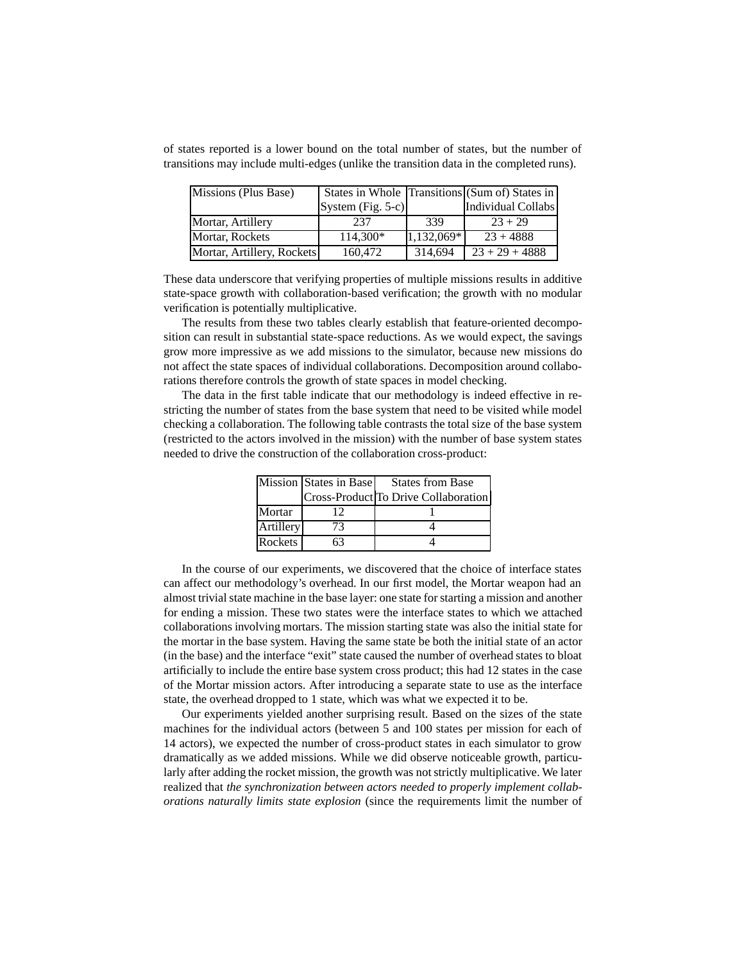| Missions (Plus Base)       |                     |            | States in Whole Transitions (Sum of) States in |
|----------------------------|---------------------|------------|------------------------------------------------|
|                            | System $(Fig. 5-c)$ |            | <b>Individual Collabs</b>                      |
| Mortar, Artillery          | 237                 | 339        | $23 + 29$                                      |
| Mortar, Rockets            | 114,300*            | 1,132,069* | $23 + 4888$                                    |
| Mortar, Artillery, Rockets | 160,472             | 314.694    | $23 + 29 + 4888$                               |

of states reported is a lower bound on the total number of states, but the number of transitions may include multi-edges (unlike the transition data in the completed runs).

These data underscore that verifying properties of multiple missions results in additive state-space growth with collaboration-based verification; the growth with no modular verification is potentially multiplicative.

The results from these two tables clearly establish that feature-oriented decomposition can result in substantial state-space reductions. As we would expect, the savings grow more impressive as we add missions to the simulator, because new missions do not affect the state spaces of individual collaborations. Decomposition around collaborations therefore controls the growth of state spaces in model checking.

The data in the first table indicate that our methodology is indeed effective in restricting the number of states from the base system that need to be visited while model checking a collaboration. The following table contrasts the total size of the base system (restricted to the actors involved in the mission) with the number of base system states needed to drive the construction of the collaboration cross-product:

|           | Mission States in Base | <b>States from Base</b>              |
|-----------|------------------------|--------------------------------------|
|           |                        | Cross-Product To Drive Collaboration |
| Mortar    | $\mathcal{D}$          |                                      |
| Artillery | 73                     |                                      |
| Rockets   |                        |                                      |

In the course of our experiments, we discovered that the choice of interface states can affect our methodology's overhead. In our first model, the Mortar weapon had an almost trivial state machine in the base layer: one state for starting a mission and another for ending a mission. These two states were the interface states to which we attached collaborations involving mortars. The mission starting state was also the initial state for the mortar in the base system. Having the same state be both the initial state of an actor (in the base) and the interface "exit" state caused the number of overhead states to bloat artificially to include the entire base system cross product; this had 12 states in the case of the Mortar mission actors. After introducing a separate state to use as the interface state, the overhead dropped to 1 state, which was what we expected it to be.

Our experiments yielded another surprising result. Based on the sizes of the state machines for the individual actors (between 5 and 100 states per mission for each of 14 actors), we expected the number of cross-product states in each simulator to grow dramatically as we added missions. While we did observe noticeable growth, particularly after adding the rocket mission, the growth was not strictly multiplicative. We later realized that *the synchronization between actors needed to properly implement collaborations naturally limits state explosion* (since the requirements limit the number of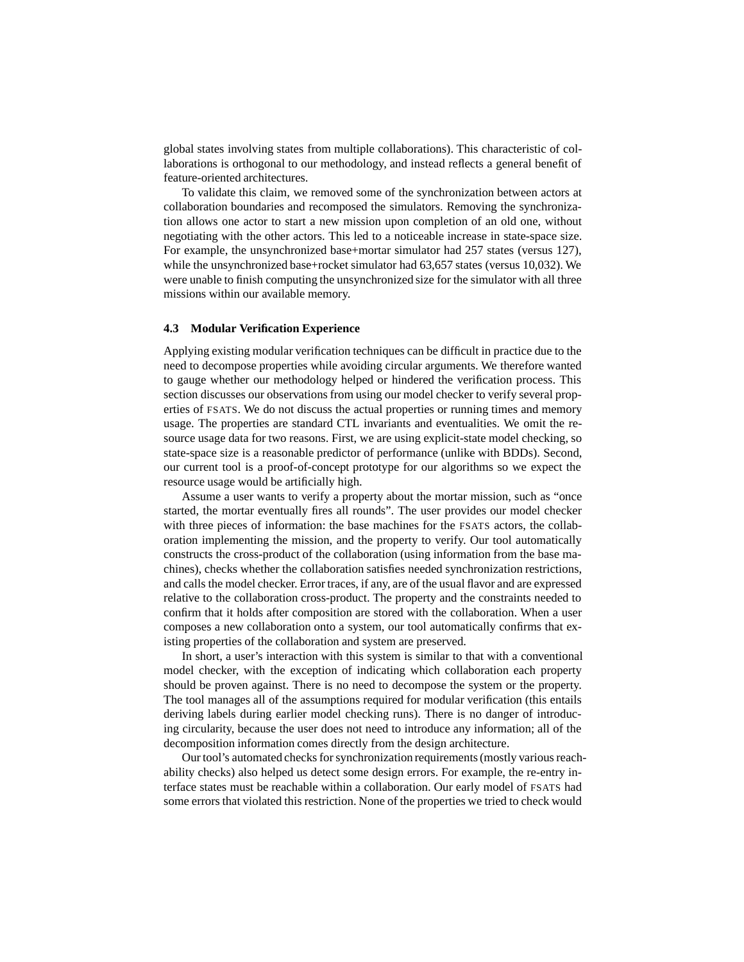global states involving states from multiple collaborations). This characteristic of collaborations is orthogonal to our methodology, and instead reflects a general benefit of feature-oriented architectures.

To validate this claim, we removed some of the synchronization between actors at collaboration boundaries and recomposed the simulators. Removing the synchronization allows one actor to start a new mission upon completion of an old one, without negotiating with the other actors. This led to a noticeable increase in state-space size. For example, the unsynchronized base+mortar simulator had 257 states (versus 127), while the unsynchronized base+rocket simulator had 63,657 states (versus 10,032). We were unable to finish computing the unsynchronized size for the simulator with all three missions within our available memory.

#### **4.3 Modular Verification Experience**

Applying existing modular verification techniques can be difficult in practice due to the need to decompose properties while avoiding circular arguments. We therefore wanted to gauge whether our methodology helped or hindered the verification process. This section discusses our observations from using our model checker to verify several properties of FSATS. We do not discuss the actual properties or running times and memory usage. The properties are standard CTL invariants and eventualities. We omit the resource usage data for two reasons. First, we are using explicit-state model checking, so state-space size is a reasonable predictor of performance (unlike with BDDs). Second, our current tool is a proof-of-concept prototype for our algorithms so we expect the resource usage would be artificially high.

Assume a user wants to verify a property about the mortar mission, such as "once started, the mortar eventually fires all rounds". The user provides our model checker with three pieces of information: the base machines for the FSATS actors, the collaboration implementing the mission, and the property to verify. Our tool automatically constructs the cross-product of the collaboration (using information from the base machines), checks whether the collaboration satisfies needed synchronization restrictions, and calls the model checker. Error traces, if any, are of the usual flavor and are expressed relative to the collaboration cross-product. The property and the constraints needed to confirm that it holds after composition are stored with the collaboration. When a user composes a new collaboration onto a system, our tool automatically confirms that existing properties of the collaboration and system are preserved.

In short, a user's interaction with this system is similar to that with a conventional model checker, with the exception of indicating which collaboration each property should be proven against. There is no need to decompose the system or the property. The tool manages all of the assumptions required for modular verification (this entails deriving labels during earlier model checking runs). There is no danger of introducing circularity, because the user does not need to introduce any information; all of the decomposition information comes directly from the design architecture.

Our tool's automated checks for synchronization requirements (mostly various reachability checks) also helped us detect some design errors. For example, the re-entry interface states must be reachable within a collaboration. Our early model of FSATS had some errors that violated this restriction. None of the properties we tried to check would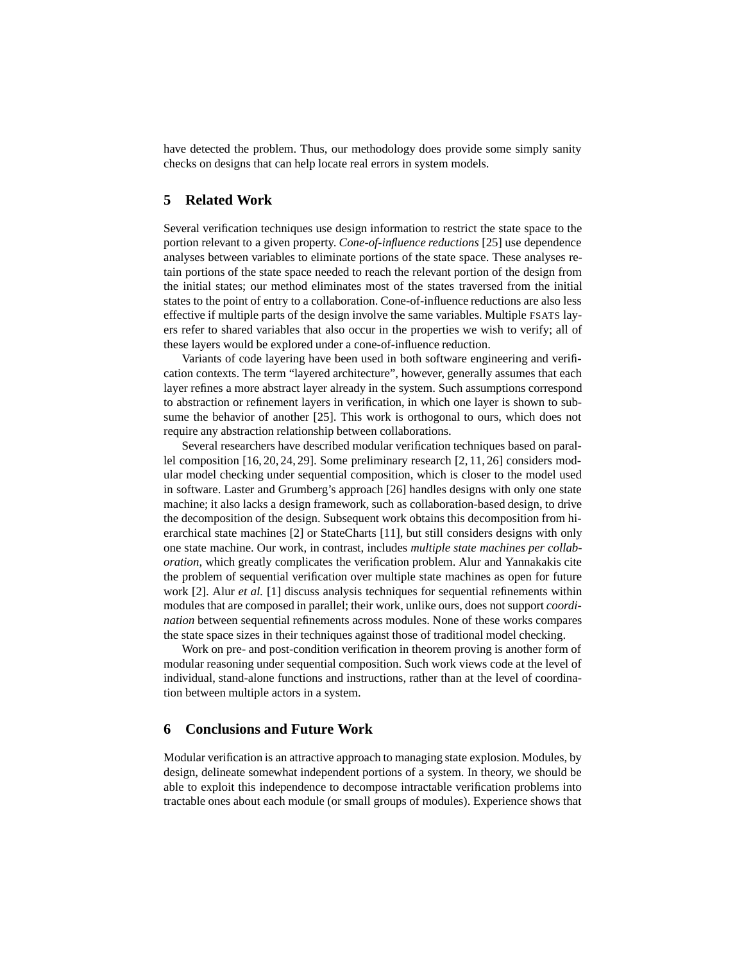have detected the problem. Thus, our methodology does provide some simply sanity checks on designs that can help locate real errors in system models.

## **5 Related Work**

Several verification techniques use design information to restrict the state space to the portion relevant to a given property. *Cone-of-influence reductions* [25] use dependence analyses between variables to eliminate portions of the state space. These analyses retain portions of the state space needed to reach the relevant portion of the design from the initial states; our method eliminates most of the states traversed from the initial states to the point of entry to a collaboration. Cone-of-influence reductions are also less effective if multiple parts of the design involve the same variables. Multiple FSATS layers refer to shared variables that also occur in the properties we wish to verify; all of these layers would be explored under a cone-of-influence reduction.

Variants of code layering have been used in both software engineering and verification contexts. The term "layered architecture", however, generally assumes that each layer refines a more abstract layer already in the system. Such assumptions correspond to abstraction or refinement layers in verification, in which one layer is shown to subsume the behavior of another [25]. This work is orthogonal to ours, which does not require any abstraction relationship between collaborations.

Several researchers have described modular verification techniques based on parallel composition [16, 20, 24, 29]. Some preliminary research [2, 11, 26] considers modular model checking under sequential composition, which is closer to the model used in software. Laster and Grumberg's approach [26] handles designs with only one state machine; it also lacks a design framework, such as collaboration-based design, to drive the decomposition of the design. Subsequent work obtains this decomposition from hierarchical state machines [2] or StateCharts [11], but still considers designs with only one state machine. Our work, in contrast, includes *multiple state machines per collaboration*, which greatly complicates the verification problem. Alur and Yannakakis cite the problem of sequential verification over multiple state machines as open for future work [2]. Alur *et al.* [1] discuss analysis techniques for sequential refinements within modules that are composed in parallel; their work, unlike ours, does not support *coordination* between sequential refinements across modules. None of these works compares the state space sizes in their techniques against those of traditional model checking.

Work on pre- and post-condition verification in theorem proving is another form of modular reasoning under sequential composition. Such work views code at the level of individual, stand-alone functions and instructions, rather than at the level of coordination between multiple actors in a system.

## **6 Conclusions and Future Work**

Modular verification is an attractive approach to managing state explosion. Modules, by design, delineate somewhat independent portions of a system. In theory, we should be able to exploit this independence to decompose intractable verification problems into tractable ones about each module (or small groups of modules). Experience shows that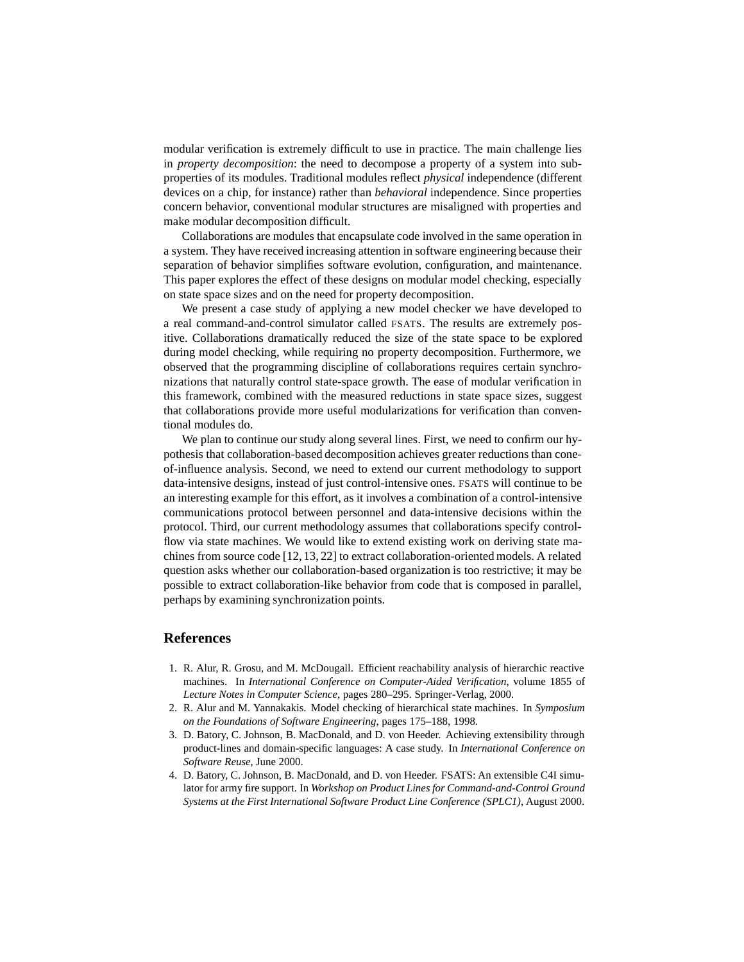modular verification is extremely difficult to use in practice. The main challenge lies in *property decomposition*: the need to decompose a property of a system into subproperties of its modules. Traditional modules reflect *physical* independence (different devices on a chip, for instance) rather than *behavioral* independence. Since properties concern behavior, conventional modular structures are misaligned with properties and make modular decomposition difficult.

Collaborations are modules that encapsulate code involved in the same operation in a system. They have received increasing attention in software engineering because their separation of behavior simplifies software evolution, configuration, and maintenance. This paper explores the effect of these designs on modular model checking, especially on state space sizes and on the need for property decomposition.

We present a case study of applying a new model checker we have developed to a real command-and-control simulator called FSATS. The results are extremely positive. Collaborations dramatically reduced the size of the state space to be explored during model checking, while requiring no property decomposition. Furthermore, we observed that the programming discipline of collaborations requires certain synchronizations that naturally control state-space growth. The ease of modular verification in this framework, combined with the measured reductions in state space sizes, suggest that collaborations provide more useful modularizations for verification than conventional modules do.

We plan to continue our study along several lines. First, we need to confirm our hypothesis that collaboration-based decomposition achieves greater reductions than coneof-influence analysis. Second, we need to extend our current methodology to support data-intensive designs, instead of just control-intensive ones. FSATS will continue to be an interesting example for this effort, as it involves a combination of a control-intensive communications protocol between personnel and data-intensive decisions within the protocol. Third, our current methodology assumes that collaborations specify controlflow via state machines. We would like to extend existing work on deriving state machines from source code [12, 13, 22] to extract collaboration-oriented models. A related question asks whether our collaboration-based organization is too restrictive; it may be possible to extract collaboration-like behavior from code that is composed in parallel, perhaps by examining synchronization points.

#### **References**

- 1. R. Alur, R. Grosu, and M. McDougall. Efficient reachability analysis of hierarchic reactive machines. In *International Conference on Computer-Aided Verification*, volume 1855 of *Lecture Notes in Computer Science*, pages 280–295. Springer-Verlag, 2000.
- 2. R. Alur and M. Yannakakis. Model checking of hierarchical state machines. In *Symposium on the Foundations of Software Engineering*, pages 175–188, 1998.
- 3. D. Batory, C. Johnson, B. MacDonald, and D. von Heeder. Achieving extensibility through product-lines and domain-specific languages: A case study. In *International Conference on Software Reuse*, June 2000.
- 4. D. Batory, C. Johnson, B. MacDonald, and D. von Heeder. FSATS: An extensible C4I simulator for army fire support. In *Workshop on Product Lines for Command-and-Control Ground Systems at the First International Software Product Line Conference (SPLC1)*, August 2000.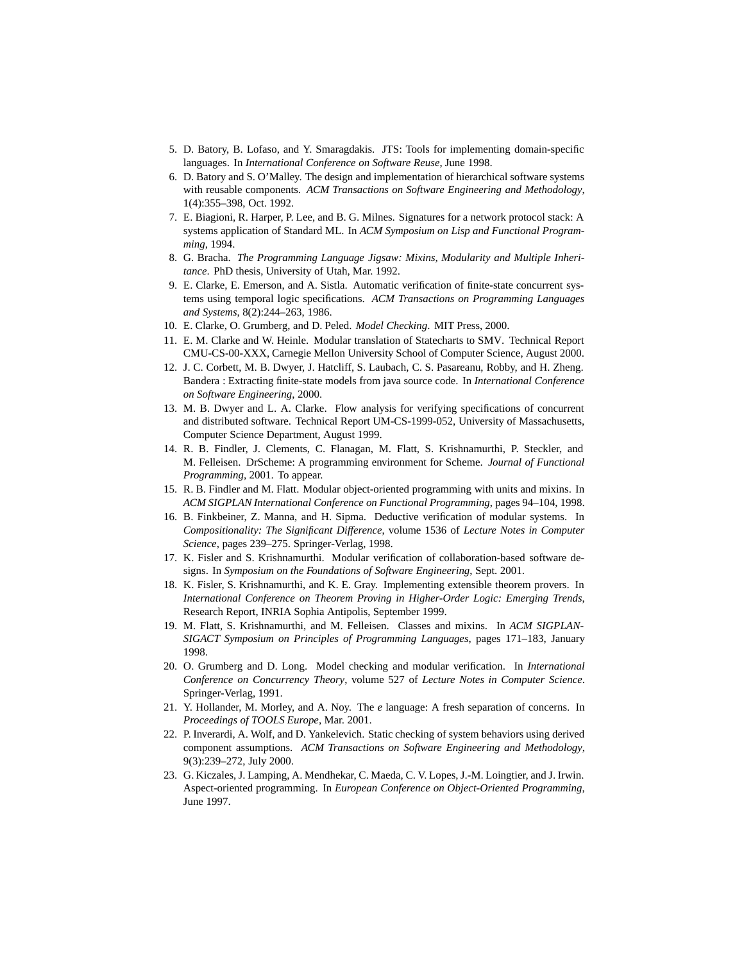- 5. D. Batory, B. Lofaso, and Y. Smaragdakis. JTS: Tools for implementing domain-specific languages. In *International Conference on Software Reuse*, June 1998.
- 6. D. Batory and S. O'Malley. The design and implementation of hierarchical software systems with reusable components. *ACM Transactions on Software Engineering and Methodology*, 1(4):355–398, Oct. 1992.
- 7. E. Biagioni, R. Harper, P. Lee, and B. G. Milnes. Signatures for a network protocol stack: A systems application of Standard ML. In *ACM Symposium on Lisp and Functional Programming*, 1994.
- 8. G. Bracha. *The Programming Language Jigsaw: Mixins, Modularity and Multiple Inheritance*. PhD thesis, University of Utah, Mar. 1992.
- 9. E. Clarke, E. Emerson, and A. Sistla. Automatic verification of finite-state concurrent systems using temporal logic specifications. *ACM Transactions on Programming Languages and Systems*, 8(2):244–263, 1986.
- 10. E. Clarke, O. Grumberg, and D. Peled. *Model Checking*. MIT Press, 2000.
- 11. E. M. Clarke and W. Heinle. Modular translation of Statecharts to SMV. Technical Report CMU-CS-00-XXX, Carnegie Mellon University School of Computer Science, August 2000.
- 12. J. C. Corbett, M. B. Dwyer, J. Hatcliff, S. Laubach, C. S. Pasareanu, Robby, and H. Zheng. Bandera : Extracting finite-state models from java source code. In *International Conference on Software Engineering*, 2000.
- 13. M. B. Dwyer and L. A. Clarke. Flow analysis for verifying specifications of concurrent and distributed software. Technical Report UM-CS-1999-052, University of Massachusetts, Computer Science Department, August 1999.
- 14. R. B. Findler, J. Clements, C. Flanagan, M. Flatt, S. Krishnamurthi, P. Steckler, and M. Felleisen. DrScheme: A programming environment for Scheme. *Journal of Functional Programming*, 2001. To appear.
- 15. R. B. Findler and M. Flatt. Modular object-oriented programming with units and mixins. In *ACM SIGPLAN International Conference on Functional Programming*, pages 94–104, 1998.
- 16. B. Finkbeiner, Z. Manna, and H. Sipma. Deductive verification of modular systems. In *Compositionality: The Significant Difference*, volume 1536 of *Lecture Notes in Computer Science*, pages 239–275. Springer-Verlag, 1998.
- 17. K. Fisler and S. Krishnamurthi. Modular verification of collaboration-based software designs. In *Symposium on the Foundations of Software Engineering*, Sept. 2001.
- 18. K. Fisler, S. Krishnamurthi, and K. E. Gray. Implementing extensible theorem provers. In *International Conference on Theorem Proving in Higher-Order Logic: Emerging Trends*, Research Report, INRIA Sophia Antipolis, September 1999.
- 19. M. Flatt, S. Krishnamurthi, and M. Felleisen. Classes and mixins. In *ACM SIGPLAN-SIGACT Symposium on Principles of Programming Languages*, pages 171–183, January 1998.
- 20. O. Grumberg and D. Long. Model checking and modular verification. In *International Conference on Concurrency Theory*, volume 527 of *Lecture Notes in Computer Science*. Springer-Verlag, 1991.
- 21. Y. Hollander, M. Morley, and A. Noy. The *e* language: A fresh separation of concerns. In *Proceedings of TOOLS Europe*, Mar. 2001.
- 22. P. Inverardi, A. Wolf, and D. Yankelevich. Static checking of system behaviors using derived component assumptions. *ACM Transactions on Software Engineering and Methodology*, 9(3):239–272, July 2000.
- 23. G. Kiczales, J. Lamping, A. Mendhekar, C. Maeda, C. V. Lopes, J.-M. Loingtier, and J. Irwin. Aspect-oriented programming. In *European Conference on Object-Oriented Programming*, June 1997.